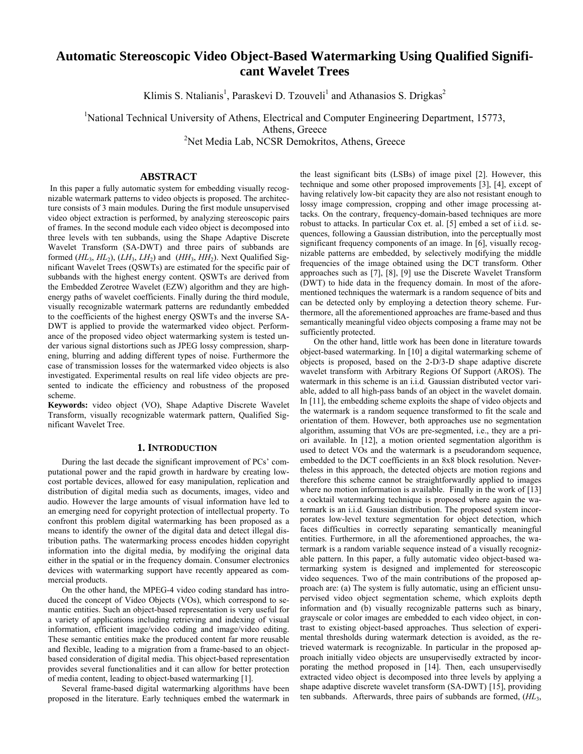# **Automatic Stereoscopic Video Object-Based Watermarking Using Qualified Significant Wavelet Trees**

Klimis S. Ntalianis<sup>1</sup>, Paraskevi D. Tzouveli<sup>1</sup> and Athanasios S. Drigkas<sup>2</sup>

<sup>1</sup>National Technical University of Athens, Electrical and Computer Engineering Department, 15773, Athens, Greece

<sup>2</sup>Net Media Lab, NCSR Demokritos, Athens, Greece

# **ABSTRACT**

 In this paper a fully automatic system for embedding visually recognizable watermark patterns to video objects is proposed. The architecture consists of 3 main modules. During the first module unsupervised video object extraction is performed, by analyzing stereoscopic pairs of frames. In the second module each video object is decomposed into three levels with ten subbands, using the Shape Adaptive Discrete Wavelet Transform (SA-DWT) and three pairs of subbands are formed  $(HL_3, HL_2)$ ,  $(LH_3, LH_2)$  and  $(HH_3, HH_2)$ . Next Qualified Significant Wavelet Trees (QSWTs) are estimated for the specific pair of subbands with the highest energy content. QSWTs are derived from the Embedded Zerotree Wavelet (EZW) algorithm and they are highenergy paths of wavelet coefficients. Finally during the third module, visually recognizable watermark patterns are redundantly embedded to the coefficients of the highest energy QSWTs and the inverse SA-DWT is applied to provide the watermarked video object. Performance of the proposed video object watermarking system is tested under various signal distortions such as JPEG lossy compression, sharpening, blurring and adding different types of noise. Furthermore the case of transmission losses for the watermarked video objects is also investigated. Experimental results on real life video objects are presented to indicate the efficiency and robustness of the proposed scheme.

**Keywords:** video object (VO), Shape Adaptive Discrete Wavelet Transform, visually recognizable watermark pattern, Qualified Significant Wavelet Tree.

#### **1. INTRODUCTION**

During the last decade the significant improvement of PCs' computational power and the rapid growth in hardware by creating lowcost portable devices, allowed for easy manipulation, replication and distribution of digital media such as documents, images, video and audio. However the large amounts of visual information have led to an emerging need for copyright protection of intellectual property. To confront this problem digital watermarking has been proposed as a means to identify the owner of the digital data and detect illegal distribution paths. The watermarking process encodes hidden copyright information into the digital media, by modifying the original data either in the spatial or in the frequency domain. Consumer electronics devices with watermarking support have recently appeared as commercial products.

On the other hand, the MPEG-4 video coding standard has introduced the concept of Video Objects (VOs), which correspond to semantic entities. Such an object-based representation is very useful for a variety of applications including retrieving and indexing of visual information, efficient image/video coding and image/video editing. These semantic entities make the produced content far more reusable and flexible, leading to a migration from a frame-based to an objectbased consideration of digital media. This object-based representation provides several functionalities and it can allow for better protection of media content, leading to object-based watermarking [1].

Several frame-based digital watermarking algorithms have been proposed in the literature. Early techniques embed the watermark in the least significant bits (LSBs) of image pixel [2]. However, this technique and some other proposed improvements [3], [4], except of having relatively low-bit capacity they are also not resistant enough to lossy image compression, cropping and other image processing attacks. On the contrary, frequency-domain-based techniques are more robust to attacks. In particular Cox et. al. [5] embed a set of i*.*i*.*d. sequences, following a Gaussian distribution, into the perceptually most significant frequency components of an image. In [6], visually recognizable patterns are embedded, by selectively modifying the middle frequencies of the image obtained using the DCT transform. Other approaches such as [7], [8], [9] use the Discrete Wavelet Transform (DWT) to hide data in the frequency domain. In most of the aforementioned techniques the watermark is a random sequence of bits and can be detected only by employing a detection theory scheme. Furthermore, all the aforementioned approaches are frame-based and thus semantically meaningful video objects composing a frame may not be sufficiently protected.

On the other hand, little work has been done in literature towards object-based watermarking. In [10] a digital watermarking scheme of objects is proposed, based on the 2-D/3-D shape adaptive discrete wavelet transform with Arbitrary Regions Of Support (AROS). The watermark in this scheme is an i.i.d*.* Gaussian distributed vector variable, added to all high-pass bands of an object in the wavelet domain. In [11], the embedding scheme exploits the shape of video objects and the watermark is a random sequence transformed to fit the scale and orientation of them. However, both approaches use no segmentation algorithm, assuming that VOs are pre-segmented, i.e., they are a priori available. In [12], a motion oriented segmentation algorithm is used to detect VOs and the watermark is a pseudorandom sequence, embedded to the DCT coefficients in an 8x8 block resolution. Nevertheless in this approach, the detected objects are motion regions and therefore this scheme cannot be straightforwardly applied to images where no motion information is available. Finally in the work of [13] a cocktail watermarking technique is proposed where again the watermark is an i.i.d*.* Gaussian distribution. The proposed system incorporates low-level texture segmentation for object detection, which faces difficulties in correctly separating semantically meaningful entities. Furthermore, in all the aforementioned approaches, the watermark is a random variable sequence instead of a visually recognizable pattern. In this paper, a fully automatic video object-based watermarking system is designed and implemented for stereoscopic video sequences. Two of the main contributions of the proposed approach are: (a) The system is fully automatic, using an efficient unsupervised video object segmentation scheme, which exploits depth information and (b) visually recognizable patterns such as binary, grayscale or color images are embedded to each video object, in contrast to existing object-based approaches. Thus selection of experimental thresholds during watermark detection is avoided, as the retrieved watermark is recognizable. In particular in the proposed approach initially video objects are unsupervisedly extracted by incorporating the method proposed in [14]. Then, each unsupervisedly extracted video object is decomposed into three levels by applying a shape adaptive discrete wavelet transform (SA-DWT) [15], providing ten subbands. Afterwards, three pairs of subbands are formed, (*HL*3,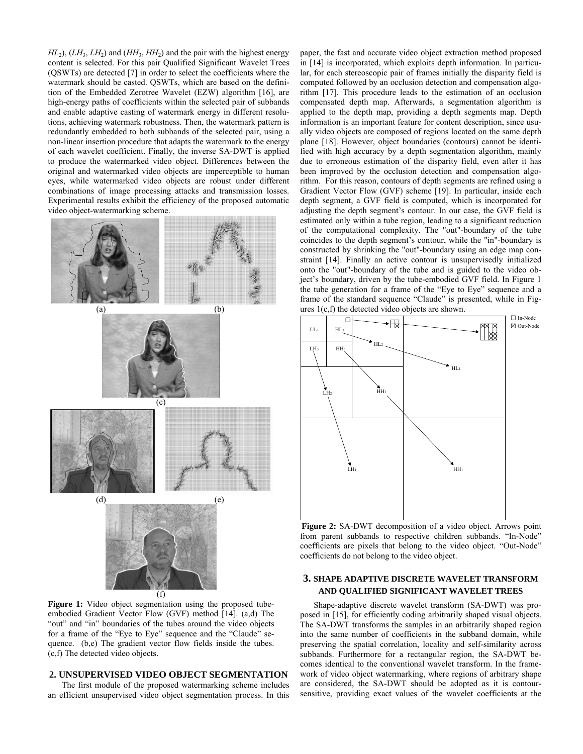$HL_2$ ),  $(LH_3, LH_2)$  and  $(HH_3, HH_2)$  and the pair with the highest energy content is selected. For this pair Qualified Significant Wavelet Trees (QSWTs) are detected [7] in order to select the coefficients where the watermark should be casted. QSWTs, which are based on the definition of the Embedded Zerotree Wavelet (EZW) algorithm [16], are high-energy paths of coefficients within the selected pair of subbands and enable adaptive casting of watermark energy in different resolutions, achieving watermark robustness. Then, the watermark pattern is redundantly embedded to both subbands of the selected pair, using a non-linear insertion procedure that adapts the watermark to the energy of each wavelet coefficient. Finally, the inverse SA-DWT is applied to produce the watermarked video object. Differences between the original and watermarked video objects are imperceptible to human eyes, while watermarked video objects are robust under different combinations of image processing attacks and transmission losses. Experimental results exhibit the efficiency of the proposed automatic video object-watermarking scheme.



**Figure 1:** Video object segmentation using the proposed tubeembodied Gradient Vector Flow (GVF) method [14]. (a,d) The "out" and "in" boundaries of the tubes around the video objects for a frame of the "Eye to Eye" sequence and the "Claude" sequence. (b,e) The gradient vector flow fields inside the tubes. (c,f) The detected video objects.

### **2. UNSUPERVISED VIDEO OBJECT SEGMENTATION**

The first module of the proposed watermarking scheme includes an efficient unsupervised video object segmentation process. In this paper, the fast and accurate video object extraction method proposed in [14] is incorporated, which exploits depth information. In particular, for each stereoscopic pair of frames initially the disparity field is computed followed by an occlusion detection and compensation algorithm [17]. This procedure leads to the estimation of an occlusion compensated depth map. Afterwards, a segmentation algorithm is applied to the depth map, providing a depth segments map. Depth information is an important feature for content description, since usually video objects are composed of regions located on the same depth plane [18]. However, object boundaries (contours) cannot be identified with high accuracy by a depth segmentation algorithm, mainly due to erroneous estimation of the disparity field, even after it has been improved by the occlusion detection and compensation algorithm. For this reason, contours of depth segments are refined using a Gradient Vector Flow (GVF) scheme [19]. In particular, inside each depth segment, a GVF field is computed, which is incorporated for adjusting the depth segment's contour. In our case, the GVF field is estimated only within a tube region, leading to a significant reduction of the computational complexity. The "out"-boundary of the tube coincides to the depth segment's contour, while the "in"-boundary is constructed by shrinking the "out"-boundary using an edge map constraint [14]. Finally an active contour is unsupervisedly initialized onto the "out"-boundary of the tube and is guided to the video object's boundary, driven by the tube-embodied GVF field. In Figure 1 the tube generation for a frame of the "Eye to Eye" sequence and a frame of the standard sequence "Claude" is presented, while in Figures 1(c,f) the detected video objects are shown.



**Figure 2:** SA-DWT decomposition of a video object. Arrows point from parent subbands to respective children subbands. "In-Node" coefficients are pixels that belong to the video object. "Out-Node" coefficients do not belong to the video object.

# **3. SHAPE ADAPTIVE DISCRETE WAVELET TRANSFORM AND QUALIFIED SIGNIFICANT WAVELET TREES**

Shape-adaptive discrete wavelet transform (SA-DWT) was proposed in [15], for efficiently coding arbitrarily shaped visual objects. The SA-DWT transforms the samples in an arbitrarily shaped region into the same number of coefficients in the subband domain, while preserving the spatial correlation, locality and self-similarity across subbands. Furthermore for a rectangular region, the SA-DWT becomes identical to the conventional wavelet transform. In the framework of video object watermarking, where regions of arbitrary shape are considered, the SA-DWT should be adopted as it is contoursensitive, providing exact values of the wavelet coefficients at the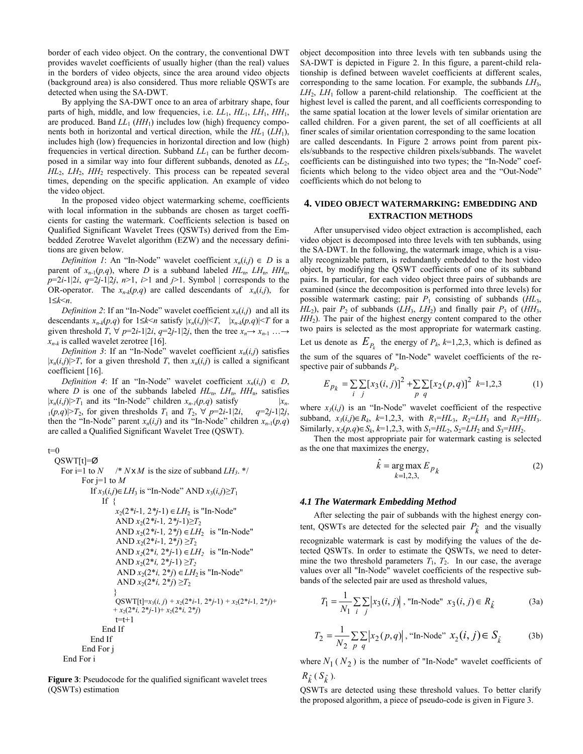border of each video object. On the contrary, the conventional DWT provides wavelet coefficients of usually higher (than the real) values in the borders of video objects, since the area around video objects (background area) is also considered. Thus more reliable QSWTs are detected when using the SA-DWT.

By applying the SA-DWT once to an area of arbitrary shape, four parts of high, middle, and low frequencies, i.e. *LL*1, *HL*1, *LH*1, *HH*1, are produced. Band  $LL_1$  ( $HH_1$ ) includes low (high) frequency components both in horizontal and vertical direction, while the  $HL_1$  ( $LH_1$ ), includes high (low) frequencies in horizontal direction and low (high) frequencies in vertical direction. Subband  $LL_1$  can be further decomposed in a similar way into four different subbands, denoted as *LL*2, *HL*2, *LH*2, *HH*2 respectively. This process can be repeated several times, depending on the specific application. An example of video the video object.

In the proposed video object watermarking scheme, coefficients with local information in the subbands are chosen as target coefficients for casting the watermark. Coefficients selection is based on Qualified Significant Wavelet Trees (QSWTs) derived from the Embedded Zerotree Wavelet algorithm (EZW) and the necessary definitions are given below.

*Definition 1*: An "In-Node" wavelet coefficient  $x_n(i,j) \in D$  is a parent of  $x_{n-1}(p,q)$ , where *D* is a subband labeled  $HL_n$ ,  $LH_n$ ,  $HH_n$ ,  $p=2i-1|2i, q=2j-1|2j, n>1, i>1$  and  $j>1$ . Symbol | corresponds to the OR-operator. The  $x_{n-k}(p,q)$  are called descendants of  $x_n(i,j)$ , for 1≤*k*<*n*.

*Definition 2*: If an "In-Node" wavelet coefficient  $x_n(i,j)$  and all its descendants  $x_{n-k}(p,q)$  for  $1 \leq k \leq n$  satisfy  $|x_n(i,j)| \leq T$ ,  $|x_{n-k}(p,q)| \leq T$  for a given threshold *T*,  $\forall$  *p*=2*i*-1|2*i*, *q*=2*j*-1|2*j*, then the tree  $x_n \rightarrow x_{n-1}$  … →  $x_{n-k}$  is called wavelet zerotree [16].

*Definition 3*: If an "In-Node" wavelet coefficient  $x_n(i,j)$  satisfies  $|x_n(i,j)| > T$ , for a given threshold *T*, then  $x_n(i,j)$  is called a significant coefficient [16].

*Definition 4*: If an "In-Node" wavelet coefficient  $x_n(i,j) \in D$ , where *D* is one of the subbands labeled  $HL$ <sub>n</sub>,  $LH$ <sub>n</sub>,  $HH$ <sub>n</sub>, satisfies  $|x_n(i,j)| > T_1$  and its "In-Node" children  $x_{n-1}(p,q)$  satisfy  $|x_n-1| > T_1$  $\{1(p,q)|\geq T_2\}$ , for given thresholds  $T_1$  and  $T_2$ ,  $\forall$   $p=2i-1|2i$ ,  $q=2j-1|2j$ , then the "In-Node" parent  $x_n(i,j)$  and its "In-Node" children  $x_{n-1}(p,q)$ are called a Qualified Significant Wavelet Tree (QSWT).

```
t=0 QSWT[t]=Ø
For i=1 to N \sqrt{*} NxM is the size of subband LH<sub>3</sub>. */
       For j=1 to M If x3(i,j)∈LH3 is "In-Node" AND x3(i,j)≥T1
              If \ell x2(2*i-1, 2*j-1) ∈LH2 is "In-Node" 
                  AND x_2(2^*i-1, 2^*j-1) \geq T_2 AND x2(2*i-1, 2*j) ∈LH2 is "In-Node" 
                   AND x_2(2^*i-1, 2^*j) \geq T_2AND x_2(2^*i, 2^*j-1) \in LH_2 is "In-Node"
                   AND x_2(2^*i, 2^*j-1) \geq T_2AND x_2(2^*i, 2^*j) ∈ LH<sub>2</sub> is "In-Node"
                   AND x_2(2^*i, 2^*j) \geq T_2 } 
                  QSWT[t]=x_3(i, j) + x_2(2 \cdot i-1, 2 \cdot j-1) + x_2(2 \cdot i-1, 2 \cdot j) ++x_2(2^*i, 2^*j-1)+x_2(2^*i, 2^*j)t=t+1 End If 
           End If 
        End For j 
  End For i
```
**Figure 3**: Pseudocode for the qualified significant wavelet trees (QSWTs) estimation

object decomposition into three levels with ten subbands using the SA-DWT is depicted in Figure 2. In this figure, a parent-child relationship is defined between wavelet coefficients at different scales, corresponding to the same location. For example, the subbands *LH*3,  $LH_2$ ,  $LH_1$  follow a parent-child relationship. The coefficient at the highest level is called the parent, and all coefficients corresponding to the same spatial location at the lower levels of similar orientation are called children. For a given parent, the set of all coefficients at all finer scales of similar orientation corresponding to the same location are called descendants. In Figure 2 arrows point from parent pixels/subbands to the respective children pixels/subbands. The wavelet coefficients can be distinguished into two types; the "In-Node" coefficients which belong to the video object area and the "Out-Node" coefficients which do not belong to

## **4. VIDEO OBJECT WATERMARKING: EMBEDDING AND EXTRACTION METHODS**

After unsupervised video object extraction is accomplished, each video object is decomposed into three levels with ten subbands, using the SA-DWT. In the following, the watermark image, which is a visually recognizable pattern, is redundantly embedded to the host video object, by modifying the QSWT coefficients of one of its subband pairs. In particular, for each video object three pairs of subbands are examined (since the decomposition is performed into three levels) for possible watermark casting; pair *P*1 consisting of subbands (*HL*3, *HL*<sub>2</sub>), pair  $P_2$  of subbands (*LH*<sub>3</sub>, *LH*<sub>2</sub>) and finally pair  $P_3$  of (*HH*<sub>3</sub>, *HH*<sub>2</sub>). The pair of the highest energy content compared to the other two pairs is selected as the most appropriate for watermark casting.

Let us denote as  $E_{P_k}$  the energy of  $P_k$ ,  $k=1,2,3$ , which is defined as the sum of the squares of "In-Node" wavelet coefficients of the respective pair of subbands *Pk*.

$$
E_{p_k} = \sum_{i} \sum_{j} [x_3(i,j)]^2 + \sum_{p} \sum_{q} [x_2(p,q)]^2 \ k=1,2,3
$$
 (1)

where  $x_3(i,j)$  is an "In-Node" wavelet coefficient of the respective subband, *x<sub>3</sub>*(*i,j*)∈  $R_k$ ,  $k=1,2,3$ , with  $R_1=HL_3$ ,  $R_2= LH_3$  and  $R_3=HH_3$ . Similarly,  $x_2(p,q) \in S_k$ ,  $k=1,2,3$ , with  $S_1 = HL_2$ ,  $S_2 = LH_2$  and  $S_3 = HH_2$ .

Then the most appropriate pair for watermark casting is selected as the one that maximizes the energy,

$$
\hat{k} = \underset{k=1,2,3,}{\arg \max} E_{p_k}
$$
\n(2)

#### *4.1 The Watermark Embedding Method*

After selecting the pair of subbands with the highest energy content, QSWTs are detected for the selected pair  $P_{\hat{k}}$  and the visually recognizable watermark is cast by modifying the values of the detected QSWTs. In order to estimate the QSWTs, we need to determine the two threshold parameters  $T_1$ ,  $T_2$ . In our case, the average values over all "In-Node" wavelet coefficients of the respective subbands of the selected pair are used as threshold values,

$$
T_1 = \frac{1}{N_1} \sum_{i} \sum_{j} |x_3(i, j)|, \text{ "In-Node" } x_3(i, j) \in R_{\hat{k}} \tag{3a}
$$

$$
T_2 = \frac{1}{N_2} \sum_{p} \sum_{q} \left| x_2(p,q) \right|, \text{``In-Node''} \ x_2(i,j) \in S_{\hat{k}} \tag{3b}
$$

where  $N_1$  ( $N_2$ ) is the number of "In-Node" wavelet coefficients of  $R_{\hat{k}}(S_{\hat{k}})$ .

QSWTs are detected using these threshold values. To better clarify the proposed algorithm, a piece of pseudo-code is given in Figure 3.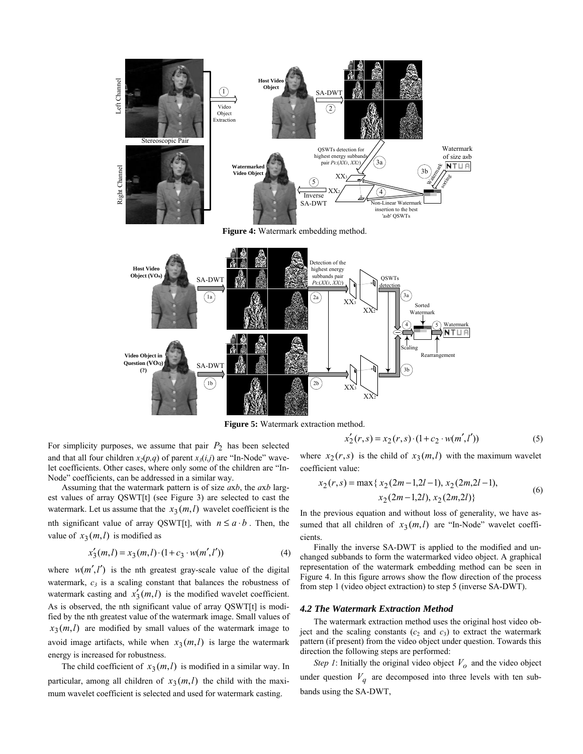

**Figure 5:** Watermark extraction method.

$$
x'_{2}(r,s) = x_{2}(r,s) \cdot (1 + c_{2} \cdot w(m',l')) \tag{5}
$$

For simplicity purposes, we assume that pair  $P_2$  has been selected and that all four children  $x_2(p,q)$  of parent  $x_3(i,j)$  are "In-Node" wavelet coefficients. Other cases, where only some of the children are "In-Node" coefficients, can be addressed in a similar way.

Assuming that the watermark pattern is of size *a*x*b*, the *a*x*b* largest values of array QSWT[t] (see Figure 3) are selected to cast the watermark. Let us assume that the  $x_3(m, l)$  wavelet coefficient is the nth significant value of array QSWT[t], with  $n \le a \cdot b$ . Then, the value of  $x_3(m, l)$  is modified as

$$
x'_3(m,l) = x_3(m,l) \cdot (1 + c_3 \cdot w(m',l')) \tag{4}
$$

where  $w(m', l')$  is the nth greatest gray-scale value of the digital watermark,  $c_3$  is a scaling constant that balances the robustness of watermark casting and  $x'_{3}(m, l)$  is the modified wavelet coefficient. As is observed, the nth significant value of array QSWT[t] is modified by the nth greatest value of the watermark image. Small values of  $x_3(m, l)$  are modified by small values of the watermark image to avoid image artifacts, while when  $x_3(m, l)$  is large the watermark energy is increased for robustness.

The child coefficient of  $x_3(m, l)$  is modified in a similar way. In particular, among all children of  $x_3(m, l)$  the child with the maximum wavelet coefficient is selected and used for watermark casting.

where  $x_2(r, s)$  is the child of  $x_3(m, l)$  with the maximum wavelet coefficient value:

$$
x_2(r,s) = \max\{x_2(2m-1,2l-1), x_2(2m,2l-1),
$$
  

$$
x_2(2m-1,2l), x_2(2m,2l)\}\
$$
 (6)

In the previous equation and without loss of generality, we have assumed that all children of  $x_3(m, l)$  are "In-Node" wavelet coefficients.

Finally the inverse SA-DWT is applied to the modified and unchanged subbands to form the watermarked video object. A graphical representation of the watermark embedding method can be seen in Figure 4. In this figure arrows show the flow direction of the process from step 1 (video object extraction) to step 5 (inverse SA-DWT).

#### *4.2 The Watermark Extraction Method*

The watermark extraction method uses the original host video object and the scaling constants  $(c_2 \text{ and } c_3)$  to extract the watermark pattern (if present) from the video object under question. Towards this direction the following steps are performed:

*Step 1*: Initially the original video object  $V<sub>o</sub>$  and the video object under question  $V_q$  are decomposed into three levels with ten subbands using the SA-DWT,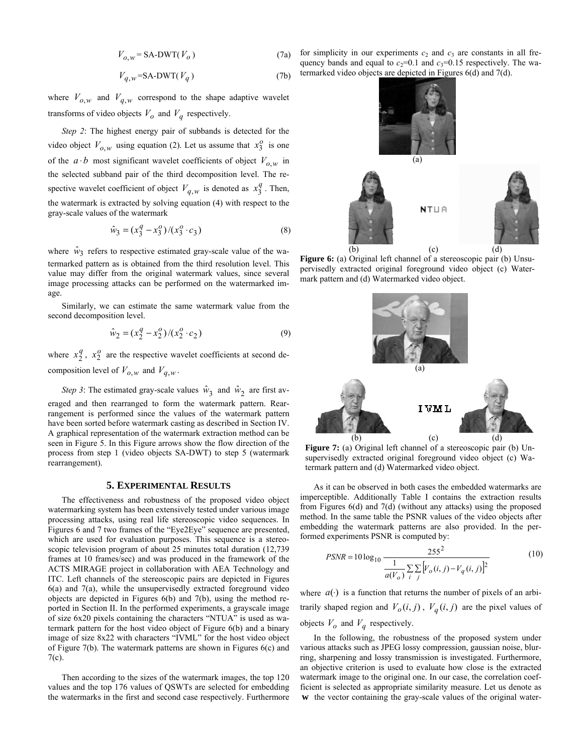$$
V_{o,w} = \text{SA-DWT}(V_o)
$$
 (7a)

$$
V_{q,w} = SA-DWT(V_q)
$$
 (7b)

where  $V_{o,w}$  and  $V_{q,w}$  correspond to the shape adaptive wavelet transforms of video objects  $V_o$  and  $V_q$  respectively.

*Step 2*: The highest energy pair of subbands is detected for the video object  $V_{o,w}$  using equation (2). Let us assume that  $x_3^o$  is one of the  $a \cdot b$  most significant wavelet coefficients of object  $V_{a,w}$  in the selected subband pair of the third decomposition level. The respective wavelet coefficient of object  $V_{q,w}$  is denoted as  $x_3^q$ . Then, the watermark is extracted by solving equation (4) with respect to the gray-scale values of the watermark

$$
\hat{w}_3 = (x_3^q - x_3^q) / (x_3^o \cdot c_3)
$$
\n(8)

where  $\hat{w}_3$  refers to respective estimated gray-scale value of the watermarked pattern as is obtained from the third resolution level. This value may differ from the original watermark values, since several image processing attacks can be performed on the watermarked image.

Similarly, we can estimate the same watermark value from the second decomposition level.

$$
\hat{w}_2 = (x_2^q - x_2^o) / (x_2^o \cdot c_2)
$$
\n(9)

where  $x_2^q$ ,  $x_2^o$  are the respective wavelet coefficients at second decomposition level of  $V_{o,w}$  and  $V_{q,w}$ .

*Step 3*: The estimated gray-scale values  $\hat{w}_3$  and  $\hat{w}_2$  are first averaged and then rearranged to form the watermark pattern. Rearrangement is performed since the values of the watermark pattern have been sorted before watermark casting as described in Section IV. A graphical representation of the watermark extraction method can be seen in Figure 5. In this Figure arrows show the flow direction of the process from step 1 (video objects SA-DWT) to step 5 (watermark rearrangement).

### **5. EXPERIMENTAL RESULTS**

The effectiveness and robustness of the proposed video object watermarking system has been extensively tested under various image processing attacks, using real life stereoscopic video sequences. In Figures 6 and 7 two frames of the "Eye2Eye" sequence are presented, which are used for evaluation purposes. This sequence is a stereoscopic television program of about 25 minutes total duration (12,739 frames at 10 frames/sec) and was produced in the framework of the ACTS MIRAGE project in collaboration with AEA Technology and ITC. Left channels of the stereoscopic pairs are depicted in Figures  $6(a)$  and  $7(a)$ , while the unsupervisedly extracted foreground video objects are depicted in Figures 6(b) and 7(b), using the method reported in Section II. In the performed experiments, a grayscale image of size 6x20 pixels containing the characters "NTUA" is used as watermark pattern for the host video object of Figure 6(b) and a binary image of size 8x22 with characters "IVML" for the host video object of Figure 7(b). The watermark patterns are shown in Figures 6(c) and 7(c).

Then according to the sizes of the watermark images, the top 120 values and the top 176 values of QSWTs are selected for embedding the watermarks in the first and second case respectively. Furthermore

for simplicity in our experiments  $c_2$  and  $c_3$  are constants in all frequency bands and equal to  $c_2=0.1$  and  $c_3=0.15$  respectively. The watermarked video objects are depicted in Figures 6(d) and 7(d).



**Figure 6:** (a) Original left channel of a stereoscopic pair (b) Unsupervisedly extracted original foreground video object (c) Watermark pattern and (d) Watermarked video object.



**Figure 7:** (a) Original left channel of a stereoscopic pair (b) Unsupervisedly extracted original foreground video object (c) Watermark pattern and (d) Watermarked video object.

As it can be observed in both cases the embedded watermarks are imperceptible. Additionally Table I contains the extraction results from Figures 6(d) and 7(d) (without any attacks) using the proposed method. In the same table the PSNR values of the video objects after embedding the watermark patterns are also provided. In the performed experiments PSNR is computed by:

$$
PSNR = 10 \log_{10} \frac{255^2}{\frac{1}{a(V_o)} \sum_{i} \sum_{j} [V_o(i, j) - V_q(i, j)]^2}
$$
(10)

where  $a(\cdot)$  is a function that returns the number of pixels of an arbitrarily shaped region and  $V_o(i, j)$ ,  $V_q(i, j)$  are the pixel values of objects  $V_o$  and  $V_q$  respectively.

In the following, the robustness of the proposed system under various attacks such as JPEG lossy compression, gaussian noise, blurring, sharpening and lossy transmission is investigated. Furthermore, an objective criterion is used to evaluate how close is the extracted watermark image to the original one. In our case, the correlation coefficient is selected as appropriate similarity measure. Let us denote as **w** the vector containing the gray-scale values of the original water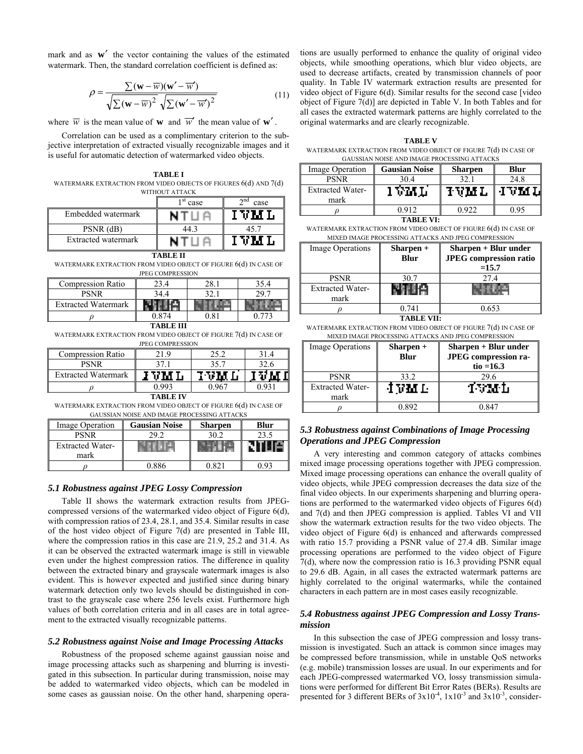mark and as **w**′ the vector containing the values of the estimated watermark. Then, the standard correlation coefficient is defined as:

$$
\rho = \frac{\sum (\mathbf{w} - \overline{w})(\mathbf{w}' - \overline{w}')}{\sqrt{\sum (\mathbf{w} - \overline{w})^2} \sqrt{\sum (\mathbf{w}' - \overline{w}')^2}}
$$
(11)

where  $\overline{w}$  is the mean value of **w** and  $\overline{w}'$  the mean value of **w**'.

Correlation can be used as a complimentary criterion to the subjective interpretation of extracted visually recognizable images and it is useful for automatic detection of watermarked video objects.

**TABLE I**  WATERMARK EXTRACTION FROM VIDEO OBJECTS OF FIGURES 6(d) AND 7(d)

| WITHOUT ATTACK                                                                      |              |                     |  |  |  |
|-------------------------------------------------------------------------------------|--------------|---------------------|--|--|--|
|                                                                                     | 1 st<br>case | $\gamma$ nd<br>case |  |  |  |
| Embedded watermark                                                                  | NTUA         | IVML                |  |  |  |
| $PSNR$ (dB)                                                                         | 44.3         | 45.7                |  |  |  |
| Extracted watermark                                                                 | NTUA         | IVML                |  |  |  |
| <b>TABLE II</b><br>WATERMARK EXTRACTION FROM VIDEO OBJECT OF FIGURE 6(d) IN CASE OF |              |                     |  |  |  |

| <b>JPEG COMPRESSION</b>    |       |      |      |  |  |  |
|----------------------------|-------|------|------|--|--|--|
| <b>Compression Ratio</b>   | 23.4  | 28.1 | 35.4 |  |  |  |
| <b>PSNR</b>                | 34.4  | 32.  |      |  |  |  |
| <b>Extracted Watermark</b> |       |      |      |  |  |  |
|                            | 0.874 |      |      |  |  |  |
|                            |       |      |      |  |  |  |

WATERMARK EXTRACTION FROM VIDEO OBJECT OF FIGURE 7(d) IN CASE OF JPEG COMPRESSION

| <b>Compression Ratio</b>   | 21.9 | 25.2 | 31.4 |  |  |  |
|----------------------------|------|------|------|--|--|--|
| <b>PSNR</b>                | 37.  | 35.7 |      |  |  |  |
| <b>Extracted Watermark</b> |      |      |      |  |  |  |
|                            | 0.99 |      |      |  |  |  |
| TABLE D                    |      |      |      |  |  |  |

WATERMARK EXTRACTION FROM VIDEO OBJECT OF FIGURE 6(d) IN CASE OF GAUSSIAN NOISE AND IMAGE PROCESSING ATTACKS

| Image Operation         | <b>Gausian Noise</b> | Sharpen | <b>Blur</b> |
|-------------------------|----------------------|---------|-------------|
| <b>PSNR</b>             | 292                  | 30.2    | 23.5        |
| <b>Extracted Water-</b> |                      |         |             |
| mark                    |                      |         |             |
|                         | በ ዩዩ6                |         |             |

### *5.1 Robustness against JPEG Lossy Compression*

Table II shows the watermark extraction results from JPEGcompressed versions of the watermarked video object of Figure 6(d), with compression ratios of 23.4, 28.1, and 35.4. Similar results in case of the host video object of Figure 7(d) are presented in Table III, where the compression ratios in this case are 21.9, 25.2 and 31.4. As it can be observed the extracted watermark image is still in viewable even under the highest compression ratios. The difference in quality between the extracted binary and grayscale watermark images is also evident. This is however expected and justified since during binary watermark detection only two levels should be distinguished in contrast to the grayscale case where 256 levels exist. Furthermore high values of both correlation criteria and in all cases are in total agreement to the extracted visually recognizable patterns.

#### *5.2 Robustness against Noise and Image Processing Attacks*

Robustness of the proposed scheme against gaussian noise and image processing attacks such as sharpening and blurring is investigated in this subsection. In particular during transmission, noise may be added to watermarked video objects, which can be modeled in some cases as gaussian noise. On the other hand, sharpening operations are usually performed to enhance the quality of original video objects, while smoothing operations, which blur video objects, are used to decrease artifacts, created by transmission channels of poor quality. In Table IV watermark extraction results are presented for video object of Figure 6(d). Similar results for the second case [video object of Figure 7(d)] are depicted in Table V. In both Tables and for all cases the extracted watermark patterns are highly correlated to the original watermarks and are clearly recognizable.

**TABLE V**  WATERMARK EXTRACTION FROM VIDEO OBJECT OF FIGURE 7(d) IN CASE OF GAUSSIAN NOISE AND IMAGE PROCESSING ATTACKS

| Image Operation         | <b>Gausian Noise</b> | <b>Sharpen</b>   | <b>Blur</b> |
|-------------------------|----------------------|------------------|-------------|
| <b>PSNR</b>             | 30.4                 |                  | 24.8        |
| <b>Extracted Water-</b> | 1 VM L               | <b>IVML IVML</b> |             |
| mark                    |                      |                  |             |
|                         | በ 912                | በ ዓንን            | 0.95        |

**TABLE VI:**

WATERMARK EXTRACTION FROM VIDEO OBJECT OF FIGURE 6(d) IN CASE OF MIXED IMAGE PROCESSING ATTACKS AND JPEG COMPRESSION

| Image Operations        | $Sharpen +$ | Sharpen + Blur under          |  |
|-------------------------|-------------|-------------------------------|--|
|                         | <b>Blur</b> | <b>JPEG</b> compression ratio |  |
|                         |             | $=15.7$                       |  |
| <b>PSNR</b>             | 30.7        | 27.4                          |  |
| <b>Extracted Water-</b> |             |                               |  |
| mark                    |             |                               |  |
|                         | 0 741       | 0.653                         |  |

**TABLE VII:**

WATERMARK EXTRACTION FROM VIDEO OBJECT OF FIGURE 7(d) IN CASE OF MIXED IMAGE PROCESSING ATTACKS AND JPEG COMPRESSION

| <b>Image Operations</b>         | $Sharpen +$<br>Blur | Sharpen + Blur under<br>JPEG compression ra-<br>tio = $16.3$ |
|---------------------------------|---------------------|--------------------------------------------------------------|
| <b>PSNR</b>                     | 33.2                | 29.6                                                         |
| <b>Extracted Water-</b><br>mark | INML                | тумь                                                         |
|                                 | 0.892               | 0 847                                                        |

# *5.3 Robustness against Combinations of Image Processing Operations and JPEG Compression*

A very interesting and common category of attacks combines mixed image processing operations together with JPEG compression. Mixed image processing operations can enhance the overall quality of video objects, while JPEG compression decreases the data size of the final video objects. In our experiments sharpening and blurring operations are performed to the watermarked video objects of Figures 6(d) and 7(d) and then JPEG compression is applied. Tables VI and VII show the watermark extraction results for the two video objects. The video object of Figure 6(d) is enhanced and afterwards compressed with ratio 15.7 providing a PSNR value of 27.4 dB. Similar image processing operations are performed to the video object of Figure 7(d), where now the compression ratio is 16.3 providing PSNR equal to 29.6 dB. Again, in all cases the extracted watermark patterns are highly correlated to the original watermarks, while the contained characters in each pattern are in most cases easily recognizable.

### *5.4 Robustness against JPEG Compression and Lossy Transmission*

In this subsection the case of JPEG compression and lossy transmission is investigated. Such an attack is common since images may be compressed before transmission, while in unstable QoS networks (e.g. mobile) transmission losses are usual. In our experiments and for each JPEG-compressed watermarked VO, lossy transmission simulations were performed for different Bit Error Rates (BERs). Results are presented for 3 different BERs of  $3x10^{-4}$ ,  $1x10^{-3}$  and  $3x10^{-3}$ , consider